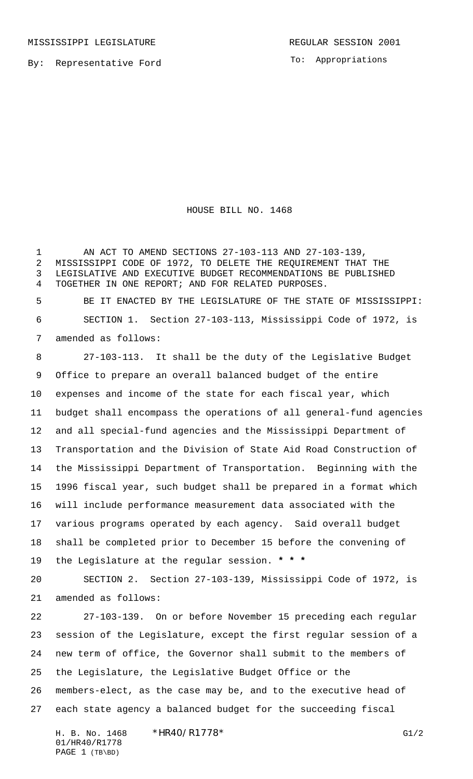To: Appropriations

HOUSE BILL NO. 1468

 AN ACT TO AMEND SECTIONS 27-103-113 AND 27-103-139, MISSISSIPPI CODE OF 1972, TO DELETE THE REQUIREMENT THAT THE LEGISLATIVE AND EXECUTIVE BUDGET RECOMMENDATIONS BE PUBLISHED TOGETHER IN ONE REPORT; AND FOR RELATED PURPOSES. BE IT ENACTED BY THE LEGISLATURE OF THE STATE OF MISSISSIPPI: SECTION 1. Section 27-103-113, Mississippi Code of 1972, is amended as follows: 8 27-103-113. It shall be the duty of the Legislative Budget Office to prepare an overall balanced budget of the entire expenses and income of the state for each fiscal year, which budget shall encompass the operations of all general-fund agencies and all special-fund agencies and the Mississippi Department of Transportation and the Division of State Aid Road Construction of the Mississippi Department of Transportation. Beginning with the 1996 fiscal year, such budget shall be prepared in a format which will include performance measurement data associated with the various programs operated by each agency. Said overall budget shall be completed prior to December 15 before the convening of the Legislature at the regular session. **\* \* \***

 SECTION 2. Section 27-103-139, Mississippi Code of 1972, is amended as follows:

 27-103-139. On or before November 15 preceding each regular session of the Legislature, except the first regular session of a new term of office, the Governor shall submit to the members of the Legislature, the Legislative Budget Office or the members-elect, as the case may be, and to the executive head of each state agency a balanced budget for the succeeding fiscal

H. B. No. 1468 \*HR40/R1778\* G1/2 01/HR40/R1778 PAGE 1 (TB\BD)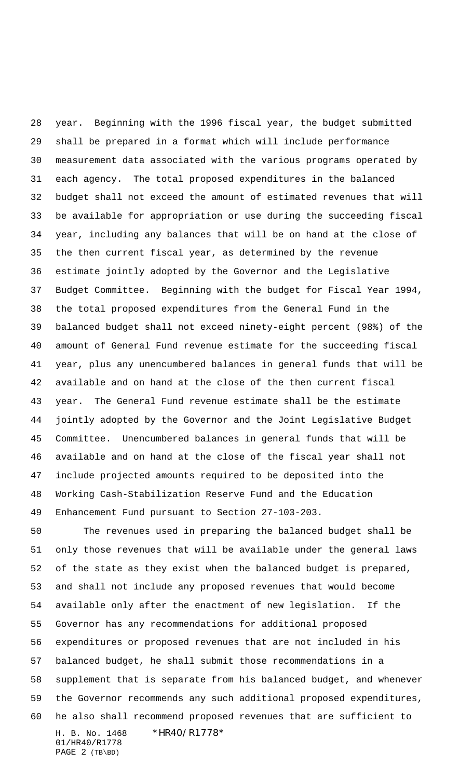year. Beginning with the 1996 fiscal year, the budget submitted shall be prepared in a format which will include performance measurement data associated with the various programs operated by each agency. The total proposed expenditures in the balanced budget shall not exceed the amount of estimated revenues that will be available for appropriation or use during the succeeding fiscal year, including any balances that will be on hand at the close of the then current fiscal year, as determined by the revenue estimate jointly adopted by the Governor and the Legislative Budget Committee. Beginning with the budget for Fiscal Year 1994, the total proposed expenditures from the General Fund in the balanced budget shall not exceed ninety-eight percent (98%) of the amount of General Fund revenue estimate for the succeeding fiscal year, plus any unencumbered balances in general funds that will be available and on hand at the close of the then current fiscal year. The General Fund revenue estimate shall be the estimate jointly adopted by the Governor and the Joint Legislative Budget Committee. Unencumbered balances in general funds that will be available and on hand at the close of the fiscal year shall not include projected amounts required to be deposited into the Working Cash-Stabilization Reserve Fund and the Education Enhancement Fund pursuant to Section 27-103-203.

H. B. No. 1468 \* HR40/R1778\* 01/HR40/R1778 The revenues used in preparing the balanced budget shall be only those revenues that will be available under the general laws of the state as they exist when the balanced budget is prepared, and shall not include any proposed revenues that would become available only after the enactment of new legislation. If the Governor has any recommendations for additional proposed expenditures or proposed revenues that are not included in his balanced budget, he shall submit those recommendations in a supplement that is separate from his balanced budget, and whenever the Governor recommends any such additional proposed expenditures, he also shall recommend proposed revenues that are sufficient to

PAGE 2 (TB\BD)